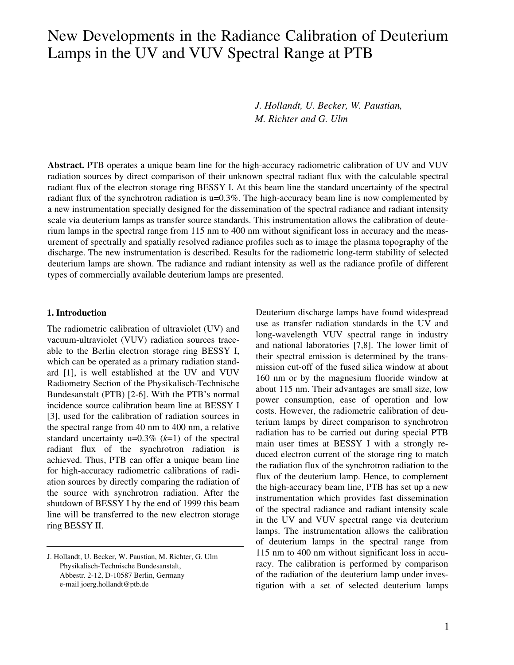# New Developments in the Radiance Calibration of Deuterium Lamps in the UV and VUV Spectral Range at PTB

*J. Hollandt, U. Becker, W. Paustian, M. Richter and G. Ulm*

**Abstract.** PTB operates a unique beam line for the high-accuracy radiometric calibration of UV and VUV radiation sources by direct comparison of their unknown spectral radiant flux with the calculable spectral radiant flux of the electron storage ring BESSY I. At this beam line the standard uncertainty of the spectral radiant flux of the synchrotron radiation is u=0.3%. The high-accuracy beam line is now complemented by a new instrumentation specially designed for the dissemination of the spectral radiance and radiant intensity scale via deuterium lamps as transfer source standards. This instrumentation allows the calibration of deuterium lamps in the spectral range from 115 nm to 400 nm without significant loss in accuracy and the measurement of spectrally and spatially resolved radiance profiles such as to image the plasma topography of the discharge. The new instrumentation is described. Results for the radiometric long-term stability of selected deuterium lamps are shown. The radiance and radiant intensity as well as the radiance profile of different types of commercially available deuterium lamps are presented.

#### **1. Introduction**

The radiometric calibration of ultraviolet (UV) and vacuum-ultraviolet (VUV) radiation sources traceable to the Berlin electron storage ring BESSY I, which can be operated as a primary radiation standard [1], is well established at the UV and VUV Radiometry Section of the Physikalisch-Technische Bundesanstalt (PTB) [2-6]. With the PTB's normal incidence source calibration beam line at BESSY I [3], used for the calibration of radiation sources in the spectral range from 40 nm to 400 nm, a relative standard uncertainty u=0.3% (*k*=1) of the spectral radiant flux of the synchrotron radiation is achieved. Thus, PTB can offer a unique beam line for high-accuracy radiometric calibrations of radiation sources by directly comparing the radiation of the source with synchrotron radiation. After the shutdown of BESSY I by the end of 1999 this beam line will be transferred to the new electron storage ring BESSY II.

Deuterium discharge lamps have found widespread use as transfer radiation standards in the UV and long-wavelength VUV spectral range in industry and national laboratories [7,8]. The lower limit of their spectral emission is determined by the transmission cut-off of the fused silica window at about 160 nm or by the magnesium fluoride window at about 115 nm. Their advantages are small size, low power consumption, ease of operation and low costs. However, the radiometric calibration of deuterium lamps by direct comparison to synchrotron radiation has to be carried out during special PTB main user times at BESSY I with a strongly reduced electron current of the storage ring to match the radiation flux of the synchrotron radiation to the flux of the deuterium lamp. Hence, to complement the high-accuracy beam line, PTB has set up a new instrumentation which provides fast dissemination of the spectral radiance and radiant intensity scale in the UV and VUV spectral range via deuterium lamps. The instrumentation allows the calibration of deuterium lamps in the spectral range from 115 nm to 400 nm without significant loss in accuracy. The calibration is performed by comparison of the radiation of the deuterium lamp under investigation with a set of selected deuterium lamps

J. Hollandt, U. Becker, W. Paustian, M. Richter, G. Ulm Physikalisch-Technische Bundesanstalt, Abbestr. 2-12, D-10587 Berlin, Germany e-mail joerg.hollandt@ptb.de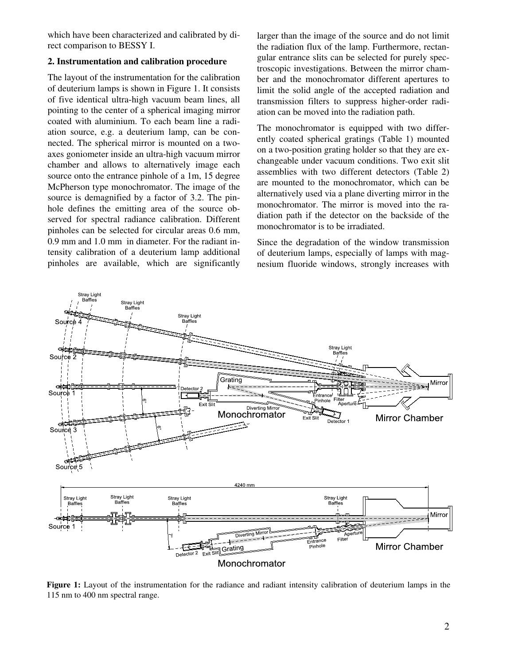which have been characterized and calibrated by direct comparison to BESSY I.

## **2. Instrumentation and calibration procedure**

The layout of the instrumentation for the calibration of deuterium lamps is shown in Figure 1. It consists of five identical ultra-high vacuum beam lines, all pointing to the center of a spherical imaging mirror coated with aluminium. To each beam line a radiation source, e.g. a deuterium lamp, can be connected. The spherical mirror is mounted on a twoaxes goniometer inside an ultra-high vacuum mirror chamber and allows to alternatively image each source onto the entrance pinhole of a 1m, 15 degree McPherson type monochromator. The image of the source is demagnified by a factor of 3.2. The pinhole defines the emitting area of the source observed for spectral radiance calibration. Different pinholes can be selected for circular areas 0.6 mm, 0.9 mm and 1.0 mm in diameter. For the radiant intensity calibration of a deuterium lamp additional pinholes are available, which are significantly larger than the image of the source and do not limit the radiation flux of the lamp. Furthermore, rectangular entrance slits can be selected for purely spectroscopic investigations. Between the mirror chamber and the monochromator different apertures to limit the solid angle of the accepted radiation and transmission filters to suppress higher-order radiation can be moved into the radiation path.

The monochromator is equipped with two differently coated spherical gratings (Table 1) mounted on a two-position grating holder so that they are exchangeable under vacuum conditions. Two exit slit assemblies with two different detectors (Table 2) are mounted to the monochromator, which can be alternatively used via a plane diverting mirror in the monochromator. The mirror is moved into the radiation path if the detector on the backside of the monochromator is to be irradiated.

Since the degradation of the window transmission of deuterium lamps, especially of lamps with magnesium fluoride windows, strongly increases with



**Figure 1:** Layout of the instrumentation for the radiance and radiant intensity calibration of deuterium lamps in the 115 nm to 400 nm spectral range.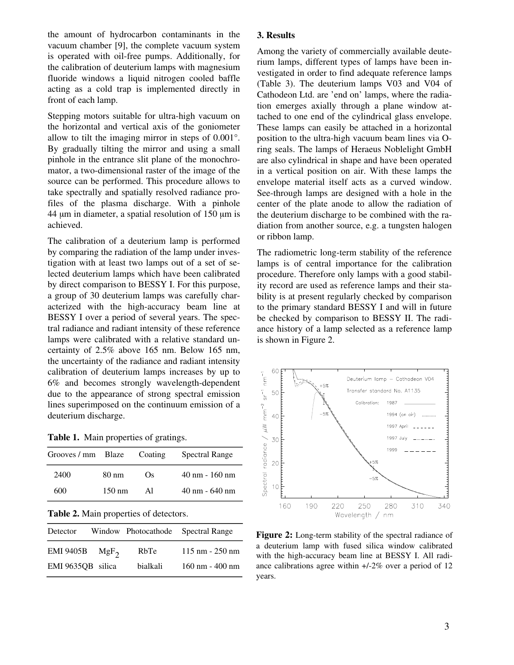the amount of hydrocarbon contaminants in the vacuum chamber [9], the complete vacuum system is operated with oil-free pumps. Additionally, for the calibration of deuterium lamps with magnesium fluoride windows a liquid nitrogen cooled baffle acting as a cold trap is implemented directly in front of each lamp.

Stepping motors suitable for ultra-high vacuum on the horizontal and vertical axis of the goniometer allow to tilt the imaging mirror in steps of 0.001°. By gradually tilting the mirror and using a small pinhole in the entrance slit plane of the monochromator, a two-dimensional raster of the image of the source can be performed. This procedure allows to take spectrally and spatially resolved radiance profiles of the plasma discharge. With a pinhole 44  $\mu$ m in diameter, a spatial resolution of 150  $\mu$ m is achieved.

The calibration of a deuterium lamp is performed by comparing the radiation of the lamp under investigation with at least two lamps out of a set of selected deuterium lamps which have been calibrated by direct comparison to BESSY I. For this purpose, a group of 30 deuterium lamps was carefully characterized with the high-accuracy beam line at BESSY I over a period of several years. The spectral radiance and radiant intensity of these reference lamps were calibrated with a relative standard uncertainty of 2.5% above 165 nm. Below 165 nm, the uncertainty of the radiance and radiant intensity calibration of deuterium lamps increases by up to 6% and becomes strongly wavelength-dependent due to the appearance of strong spectral emission lines superimposed on the continuum emission of a deuterium discharge.

**Table 1.** Main properties of gratings.

| Grooves / mm Blaze                     |                  | Coating | Spectral Range |  |  |  |  |
|----------------------------------------|------------------|---------|----------------|--|--|--|--|
| 2400                                   | 80 nm            | Os.     | 40 nm - 160 nm |  |  |  |  |
| 600                                    | $150 \text{ nm}$ | Al      | 40 nm - 640 nm |  |  |  |  |
| Table 2. Main properties of detectors. |                  |         |                |  |  |  |  |

| Detector          |         |          | Window Photocathode Spectral Range |
|-------------------|---------|----------|------------------------------------|
| <b>EMI 9405B</b>  | $MgF_2$ | RbTe     | $115 \text{ nm} - 250 \text{ nm}$  |
| EMI 9635QB silica |         | bialkali | $160$ nm - $400$ nm                |

## **3. Results**

Among the variety of commercially available deuterium lamps, different types of lamps have been investigated in order to find adequate reference lamps (Table 3). The deuterium lamps V03 and V04 of Cathodeon Ltd. are 'end on' lamps, where the radiation emerges axially through a plane window attached to one end of the cylindrical glass envelope. These lamps can easily be attached in a horizontal position to the ultra-high vacuum beam lines via Oring seals. The lamps of Heraeus Noblelight GmbH are also cylindrical in shape and have been operated in a vertical position on air. With these lamps the envelope material itself acts as a curved window. See-through lamps are designed with a hole in the center of the plate anode to allow the radiation of the deuterium discharge to be combined with the radiation from another source, e.g. a tungsten halogen or ribbon lamp.

The radiometric long-term stability of the reference lamps is of central importance for the calibration procedure. Therefore only lamps with a good stability record are used as reference lamps and their stability is at present regularly checked by comparison to the primary standard BESSY I and will in future be checked by comparison to BESSY II. The radiance history of a lamp selected as a reference lamp is shown in Figure 2.



Figure 2: Long-term stability of the spectral radiance of a deuterium lamp with fused silica window calibrated with the high-accuracy beam line at BESSY I. All radiance calibrations agree within +/-2% over a period of 12 years.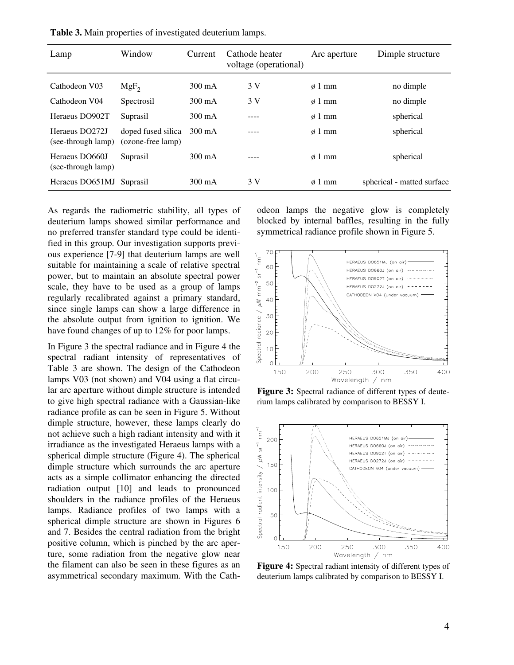| Lamp                                 | Window                                  | Current          | Cathode heater<br>voltage (operational) | Arc aperture     | Dimple structure           |
|--------------------------------------|-----------------------------------------|------------------|-----------------------------------------|------------------|----------------------------|
| Cathodeon V03                        | $MgF_2$                                 | $300 \text{ mA}$ | 3 V                                     | $\varphi$ 1 mm   | no dimple                  |
| Cathodeon V04                        | Spectrosil                              | $300 \text{ mA}$ | 3 V                                     | $\varphi$ 1 mm   | no dimple                  |
| Heraeus DO902T                       | Suprasil                                | $300 \text{ mA}$ |                                         | $\varphi$ 1 mm   | spherical                  |
| Heraeus DO272J<br>(see-through lamp) | doped fused silica<br>(ozone-free lamp) | $300 \text{ mA}$ |                                         | $\varphi$ 1 mm   | spherical                  |
| Heraeus DO660J<br>(see-through lamp) | Suprasil                                | $300 \text{ mA}$ |                                         | $\varphi$ 1 mm   | spherical                  |
| Heraeus DO651MJ                      | Suprasil                                | $300 \text{ mA}$ | 3 V                                     | $\emptyset$ 1 mm | spherical - matted surface |

**Table 3.** Main properties of investigated deuterium lamps.

As regards the radiometric stability, all types of deuterium lamps showed similar performance and no preferred transfer standard type could be identified in this group. Our investigation supports previous experience [7-9] that deuterium lamps are well suitable for maintaining a scale of relative spectral power, but to maintain an absolute spectral power scale, they have to be used as a group of lamps regularly recalibrated against a primary standard, since single lamps can show a large difference in the absolute output from ignition to ignition. We have found changes of up to 12% for poor lamps.

In Figure 3 the spectral radiance and in Figure 4 the spectral radiant intensity of representatives of Table 3 are shown. The design of the Cathodeon lamps V03 (not shown) and V04 using a flat circular arc aperture without dimple structure is intended to give high spectral radiance with a Gaussian-like radiance profile as can be seen in Figure 5. Without dimple structure, however, these lamps clearly do not achieve such a high radiant intensity and with it irradiance as the investigated Heraeus lamps with a spherical dimple structure (Figure 4). The spherical dimple structure which surrounds the arc aperture acts as a simple collimator enhancing the directed radiation output [10] and leads to pronounced shoulders in the radiance profiles of the Heraeus lamps. Radiance profiles of two lamps with a spherical dimple structure are shown in Figures 6 and 7. Besides the central radiation from the bright positive column, which is pinched by the arc aperture, some radiation from the negative glow near the filament can also be seen in these figures as an asymmetrical secondary maximum. With the Cathodeon lamps the negative glow is completely blocked by internal baffles, resulting in the fully symmetrical radiance profile shown in Figure 5.



**Figure 3:** Spectral radiance of different types of deuterium lamps calibrated by comparison to BESSY I.



**Figure 4:** Spectral radiant intensity of different types of deuterium lamps calibrated by comparison to BESSY I.